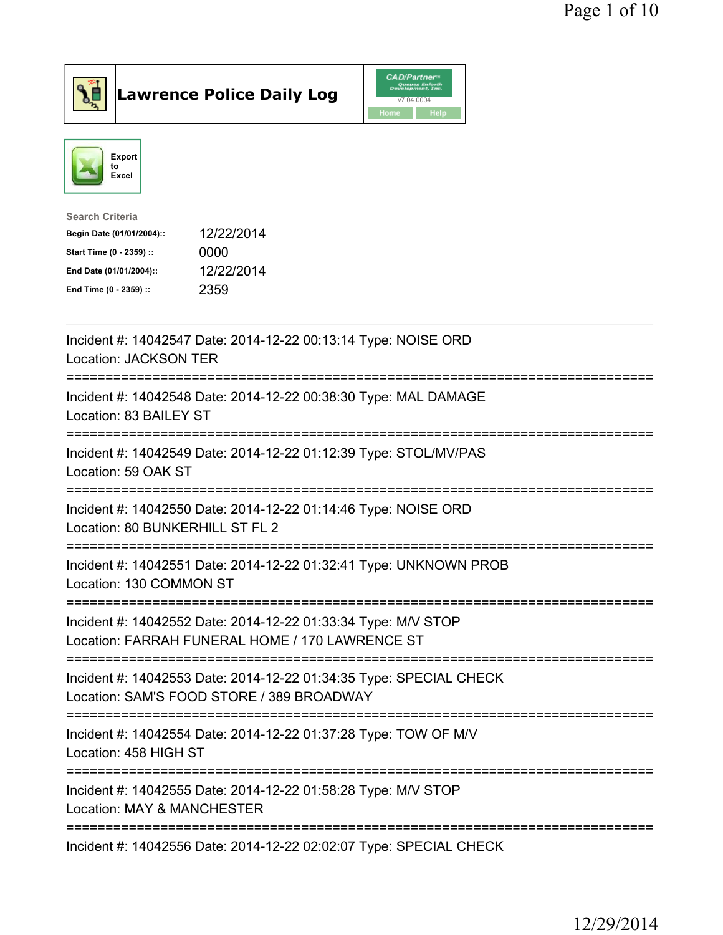



| <b>Search Criteria</b>    |            |
|---------------------------|------------|
| Begin Date (01/01/2004):: | 12/22/2014 |
| Start Time (0 - 2359) ::  | 0000       |
| End Date (01/01/2004)::   | 12/22/2014 |
| End Time (0 - 2359) ::    | 2359       |
|                           |            |

| Incident #: 14042547 Date: 2014-12-22 00:13:14 Type: NOISE ORD<br><b>Location: JACKSON TER</b>                                                          |
|---------------------------------------------------------------------------------------------------------------------------------------------------------|
| Incident #: 14042548 Date: 2014-12-22 00:38:30 Type: MAL DAMAGE<br>Location: 83 BAILEY ST                                                               |
| Incident #: 14042549 Date: 2014-12-22 01:12:39 Type: STOL/MV/PAS<br>Location: 59 OAK ST                                                                 |
| Incident #: 14042550 Date: 2014-12-22 01:14:46 Type: NOISE ORD<br>Location: 80 BUNKERHILL ST FL 2<br>--------------                                     |
| Incident #: 14042551 Date: 2014-12-22 01:32:41 Type: UNKNOWN PROB<br>Location: 130 COMMON ST<br>--------------------------------                        |
| Incident #: 14042552 Date: 2014-12-22 01:33:34 Type: M/V STOP<br>Location: FARRAH FUNERAL HOME / 170 LAWRENCE ST                                        |
| Incident #: 14042553 Date: 2014-12-22 01:34:35 Type: SPECIAL CHECK<br>Location: SAM'S FOOD STORE / 389 BROADWAY<br><u> :===========================</u> |
| Incident #: 14042554 Date: 2014-12-22 01:37:28 Type: TOW OF M/V<br>Location: 458 HIGH ST                                                                |
| Incident #: 14042555 Date: 2014-12-22 01:58:28 Type: M/V STOP<br>Location: MAY & MANCHESTER                                                             |
| Incident #: 14042556 Date: 2014-12-22 02:02:07 Type: SPECIAL CHECK                                                                                      |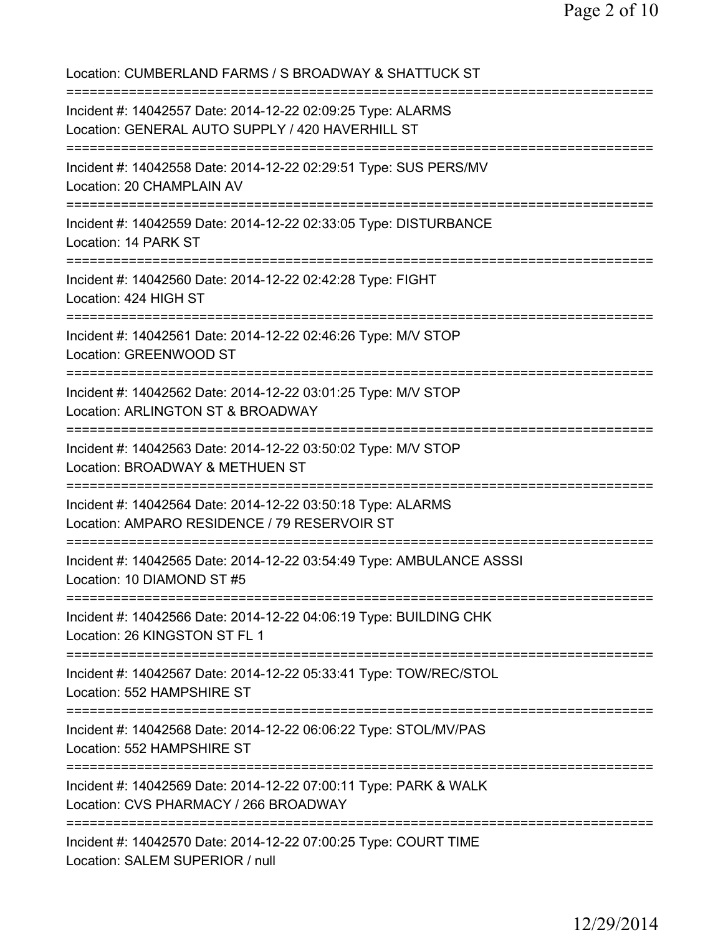Location: CUMBERLAND FARMS / S BROADWAY & SHATTUCK ST =========================================================================== Incident #: 14042557 Date: 2014-12-22 02:09:25 Type: ALARMS Location: GENERAL AUTO SUPPLY / 420 HAVERHILL ST =========================================================================== Incident #: 14042558 Date: 2014-12-22 02:29:51 Type: SUS PERS/MV Location: 20 CHAMPLAIN AV =========================================================================== Incident #: 14042559 Date: 2014-12-22 02:33:05 Type: DISTURBANCE Location: 14 PARK ST =========================================================================== Incident #: 14042560 Date: 2014-12-22 02:42:28 Type: FIGHT Location: 424 HIGH ST =========================================================================== Incident #: 14042561 Date: 2014-12-22 02:46:26 Type: M/V STOP Location: GREENWOOD ST =========================================================================== Incident #: 14042562 Date: 2014-12-22 03:01:25 Type: M/V STOP Location: ARLINGTON ST & BROADWAY =========================================================================== Incident #: 14042563 Date: 2014-12-22 03:50:02 Type: M/V STOP Location: BROADWAY & METHUEN ST =========================================================================== Incident #: 14042564 Date: 2014-12-22 03:50:18 Type: ALARMS Location: AMPARO RESIDENCE / 79 RESERVOIR ST =========================================================================== Incident #: 14042565 Date: 2014-12-22 03:54:49 Type: AMBULANCE ASSSI Location: 10 DIAMOND ST #5 =========================================================================== Incident #: 14042566 Date: 2014-12-22 04:06:19 Type: BUILDING CHK Location: 26 KINGSTON ST FL 1 =========================================================================== Incident #: 14042567 Date: 2014-12-22 05:33:41 Type: TOW/REC/STOL Location: 552 HAMPSHIRE ST =========================================================================== Incident #: 14042568 Date: 2014-12-22 06:06:22 Type: STOL/MV/PAS Location: 552 HAMPSHIRE ST =========================================================================== Incident #: 14042569 Date: 2014-12-22 07:00:11 Type: PARK & WALK Location: CVS PHARMACY / 266 BROADWAY =========================================================================== Incident #: 14042570 Date: 2014-12-22 07:00:25 Type: COURT TIME Location: SALEM SUPERIOR / null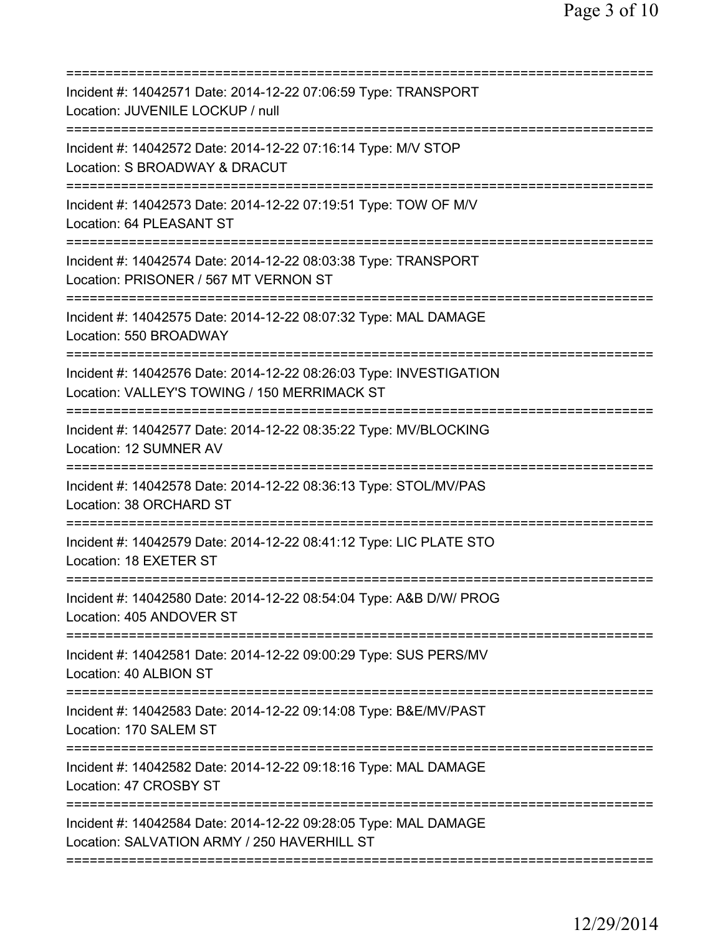| Incident #: 14042571 Date: 2014-12-22 07:06:59 Type: TRANSPORT<br>Location: JUVENILE LOCKUP / null                                                          |
|-------------------------------------------------------------------------------------------------------------------------------------------------------------|
| Incident #: 14042572 Date: 2014-12-22 07:16:14 Type: M/V STOP<br>Location: S BROADWAY & DRACUT                                                              |
| Incident #: 14042573 Date: 2014-12-22 07:19:51 Type: TOW OF M/V<br>Location: 64 PLEASANT ST                                                                 |
| Incident #: 14042574 Date: 2014-12-22 08:03:38 Type: TRANSPORT<br>Location: PRISONER / 567 MT VERNON ST                                                     |
| =========================<br>Incident #: 14042575 Date: 2014-12-22 08:07:32 Type: MAL DAMAGE<br>Location: 550 BROADWAY                                      |
| Incident #: 14042576 Date: 2014-12-22 08:26:03 Type: INVESTIGATION<br>Location: VALLEY'S TOWING / 150 MERRIMACK ST<br>===================================== |
| Incident #: 14042577 Date: 2014-12-22 08:35:22 Type: MV/BLOCKING<br><b>Location: 12 SUMNER AV</b>                                                           |
| Incident #: 14042578 Date: 2014-12-22 08:36:13 Type: STOL/MV/PAS<br>Location: 38 ORCHARD ST                                                                 |
| Incident #: 14042579 Date: 2014-12-22 08:41:12 Type: LIC PLATE STO<br>Location: 18 EXETER ST                                                                |
| Incident #: 14042580 Date: 2014-12-22 08:54:04 Type: A&B D/W/ PROG<br>Location: 405 ANDOVER ST                                                              |
| Incident #: 14042581 Date: 2014-12-22 09:00:29 Type: SUS PERS/MV<br>Location: 40 ALBION ST                                                                  |
| Incident #: 14042583 Date: 2014-12-22 09:14:08 Type: B&E/MV/PAST<br>Location: 170 SALEM ST                                                                  |
| Incident #: 14042582 Date: 2014-12-22 09:18:16 Type: MAL DAMAGE<br>Location: 47 CROSBY ST                                                                   |
| Incident #: 14042584 Date: 2014-12-22 09:28:05 Type: MAL DAMAGE<br>Location: SALVATION ARMY / 250 HAVERHILL ST                                              |
|                                                                                                                                                             |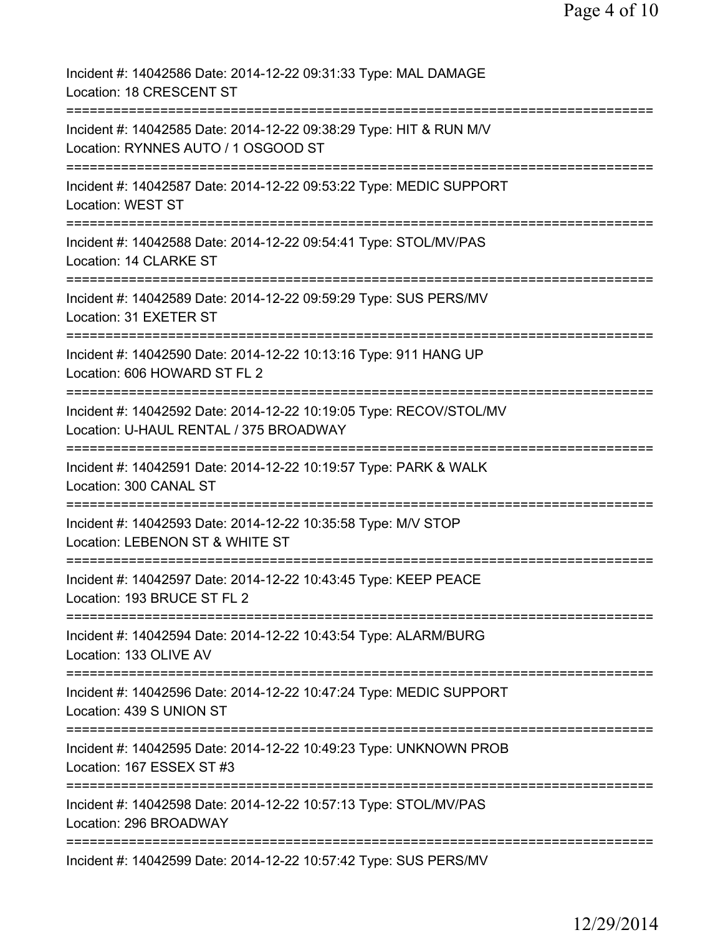| Incident #: 14042586 Date: 2014-12-22 09:31:33 Type: MAL DAMAGE<br>Location: 18 CRESCENT ST                                                  |
|----------------------------------------------------------------------------------------------------------------------------------------------|
| Incident #: 14042585 Date: 2014-12-22 09:38:29 Type: HIT & RUN M/V<br>Location: RYNNES AUTO / 1 OSGOOD ST                                    |
| Incident #: 14042587 Date: 2014-12-22 09:53:22 Type: MEDIC SUPPORT<br><b>Location: WEST ST</b>                                               |
| Incident #: 14042588 Date: 2014-12-22 09:54:41 Type: STOL/MV/PAS<br>Location: 14 CLARKE ST                                                   |
| Incident #: 14042589 Date: 2014-12-22 09:59:29 Type: SUS PERS/MV<br>Location: 31 EXETER ST                                                   |
| Incident #: 14042590 Date: 2014-12-22 10:13:16 Type: 911 HANG UP<br>Location: 606 HOWARD ST FL 2<br>---------                                |
| Incident #: 14042592 Date: 2014-12-22 10:19:05 Type: RECOV/STOL/MV<br>Location: U-HAUL RENTAL / 375 BROADWAY<br>:=========================== |
| Incident #: 14042591 Date: 2014-12-22 10:19:57 Type: PARK & WALK<br>Location: 300 CANAL ST                                                   |
| Incident #: 14042593 Date: 2014-12-22 10:35:58 Type: M/V STOP<br>Location: LEBENON ST & WHITE ST                                             |
| Incident #: 14042597 Date: 2014-12-22 10:43:45 Type: KEEP PEACE<br>Location: 193 BRUCE ST FL 2                                               |
| ======================<br>Incident #: 14042594 Date: 2014-12-22 10:43:54 Type: ALARM/BURG<br>Location: 133 OLIVE AV                          |
| Incident #: 14042596 Date: 2014-12-22 10:47:24 Type: MEDIC SUPPORT<br>Location: 439 S UNION ST                                               |
| Incident #: 14042595 Date: 2014-12-22 10:49:23 Type: UNKNOWN PROB<br>Location: 167 ESSEX ST #3                                               |
| Incident #: 14042598 Date: 2014-12-22 10:57:13 Type: STOL/MV/PAS<br>Location: 296 BROADWAY                                                   |
| Incident #: 14042599 Date: 2014-12-22 10:57:42 Type: SUS PERS/MV                                                                             |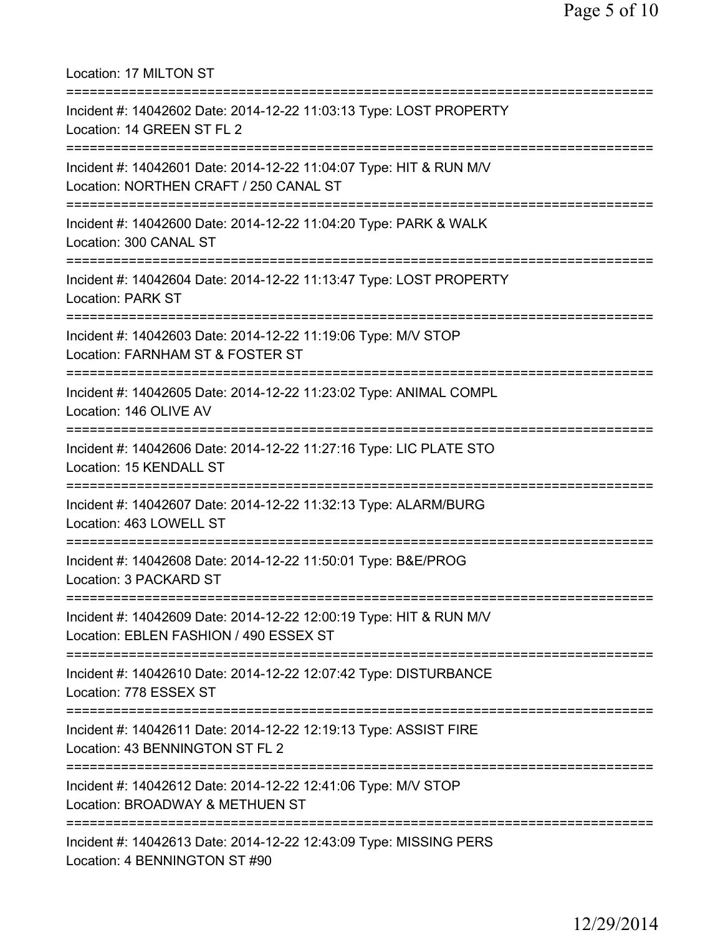| Location: 17 MILTON ST                                                                                                                      |
|---------------------------------------------------------------------------------------------------------------------------------------------|
| Incident #: 14042602 Date: 2014-12-22 11:03:13 Type: LOST PROPERTY<br>Location: 14 GREEN ST FL 2                                            |
| Incident #: 14042601 Date: 2014-12-22 11:04:07 Type: HIT & RUN M/V<br>Location: NORTHEN CRAFT / 250 CANAL ST                                |
| Incident #: 14042600 Date: 2014-12-22 11:04:20 Type: PARK & WALK<br>Location: 300 CANAL ST                                                  |
| Incident #: 14042604 Date: 2014-12-22 11:13:47 Type: LOST PROPERTY<br><b>Location: PARK ST</b>                                              |
| Incident #: 14042603 Date: 2014-12-22 11:19:06 Type: M/V STOP<br>Location: FARNHAM ST & FOSTER ST                                           |
| Incident #: 14042605 Date: 2014-12-22 11:23:02 Type: ANIMAL COMPL<br>Location: 146 OLIVE AV                                                 |
| Incident #: 14042606 Date: 2014-12-22 11:27:16 Type: LIC PLATE STO<br>Location: 15 KENDALL ST                                               |
| Incident #: 14042607 Date: 2014-12-22 11:32:13 Type: ALARM/BURG<br>Location: 463 LOWELL ST                                                  |
| Incident #: 14042608 Date: 2014-12-22 11:50:01 Type: B&E/PROG<br>Location: 3 PACKARD ST                                                     |
| Incident #: 14042609 Date: 2014-12-22 12:00:19 Type: HIT & RUN M/V<br>Location: EBLEN FASHION / 490 ESSEX ST                                |
| Incident #: 14042610 Date: 2014-12-22 12:07:42 Type: DISTURBANCE<br>Location: 778 ESSEX ST                                                  |
| Incident #: 14042611 Date: 2014-12-22 12:19:13 Type: ASSIST FIRE<br>Location: 43 BENNINGTON ST FL 2                                         |
| Incident #: 14042612 Date: 2014-12-22 12:41:06 Type: M/V STOP<br>Location: BROADWAY & METHUEN ST                                            |
| =====================================<br>Incident #: 14042613 Date: 2014-12-22 12:43:09 Type: MISSING PERS<br>Location: 4 BENNINGTON ST #90 |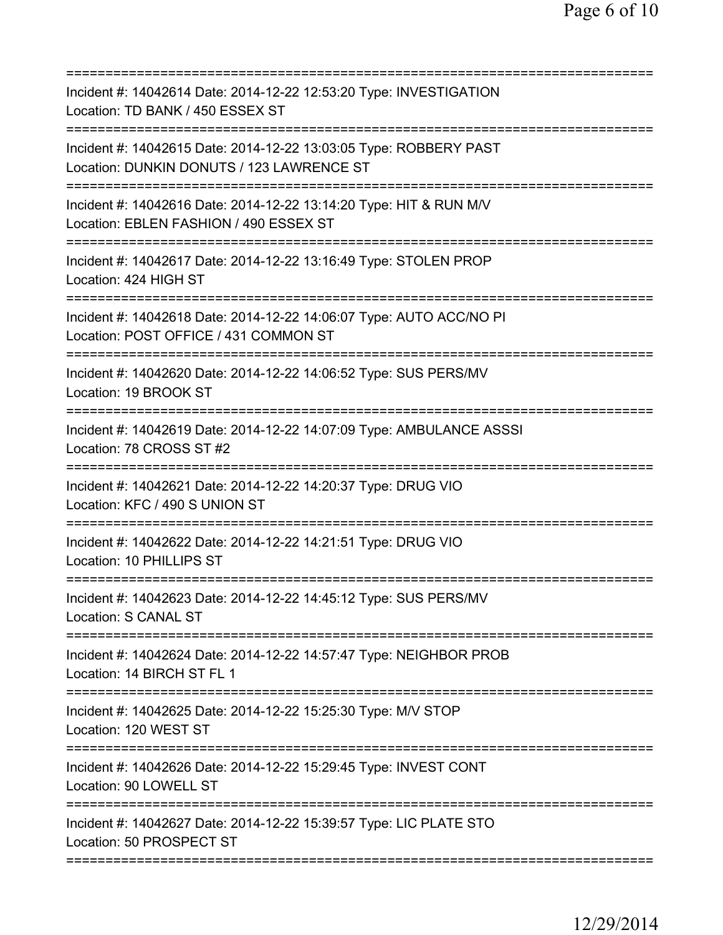| Incident #: 14042614 Date: 2014-12-22 12:53:20 Type: INVESTIGATION<br>Location: TD BANK / 450 ESSEX ST                                         |
|------------------------------------------------------------------------------------------------------------------------------------------------|
| Incident #: 14042615 Date: 2014-12-22 13:03:05 Type: ROBBERY PAST<br>Location: DUNKIN DONUTS / 123 LAWRENCE ST                                 |
| Incident #: 14042616 Date: 2014-12-22 13:14:20 Type: HIT & RUN M/V<br>Location: EBLEN FASHION / 490 ESSEX ST<br>.============================= |
| Incident #: 14042617 Date: 2014-12-22 13:16:49 Type: STOLEN PROP<br>Location: 424 HIGH ST                                                      |
| Incident #: 14042618 Date: 2014-12-22 14:06:07 Type: AUTO ACC/NO PI<br>Location: POST OFFICE / 431 COMMON ST                                   |
| Incident #: 14042620 Date: 2014-12-22 14:06:52 Type: SUS PERS/MV<br>Location: 19 BROOK ST                                                      |
| Incident #: 14042619 Date: 2014-12-22 14:07:09 Type: AMBULANCE ASSSI<br>Location: 78 CROSS ST #2                                               |
| Incident #: 14042621 Date: 2014-12-22 14:20:37 Type: DRUG VIO<br>Location: KFC / 490 S UNION ST                                                |
| Incident #: 14042622 Date: 2014-12-22 14:21:51 Type: DRUG VIO<br>Location: 10 PHILLIPS ST                                                      |
| =================<br>Incident #: 14042623 Date: 2014-12-22 14:45:12 Type: SUS PERS/MV<br><b>Location: S CANAL ST</b>                           |
| Incident #: 14042624 Date: 2014-12-22 14:57:47 Type: NEIGHBOR PROB<br>Location: 14 BIRCH ST FL 1                                               |
| Incident #: 14042625 Date: 2014-12-22 15:25:30 Type: M/V STOP<br>Location: 120 WEST ST                                                         |
| Incident #: 14042626 Date: 2014-12-22 15:29:45 Type: INVEST CONT<br>Location: 90 LOWELL ST                                                     |
| Incident #: 14042627 Date: 2014-12-22 15:39:57 Type: LIC PLATE STO<br>Location: 50 PROSPECT ST                                                 |
|                                                                                                                                                |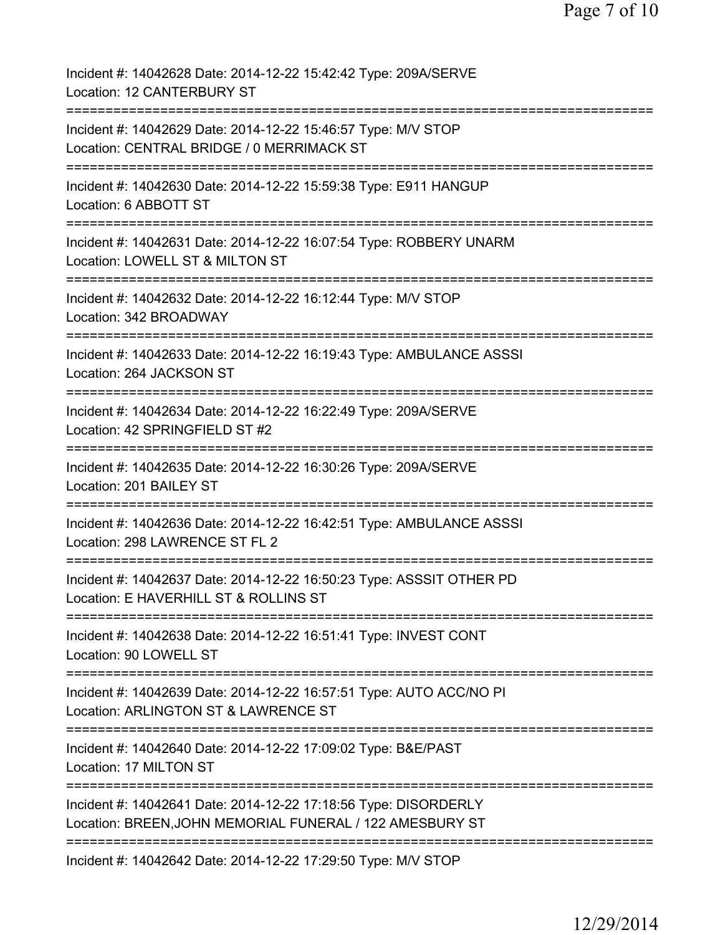| Incident #: 14042628 Date: 2014-12-22 15:42:42 Type: 209A/SERVE<br>Location: 12 CANTERBURY ST                                             |
|-------------------------------------------------------------------------------------------------------------------------------------------|
| Incident #: 14042629 Date: 2014-12-22 15:46:57 Type: M/V STOP<br>Location: CENTRAL BRIDGE / 0 MERRIMACK ST                                |
| Incident #: 14042630 Date: 2014-12-22 15:59:38 Type: E911 HANGUP<br>Location: 6 ABBOTT ST                                                 |
| Incident #: 14042631 Date: 2014-12-22 16:07:54 Type: ROBBERY UNARM<br>Location: LOWELL ST & MILTON ST                                     |
| Incident #: 14042632 Date: 2014-12-22 16:12:44 Type: M/V STOP<br>Location: 342 BROADWAY                                                   |
| =====================================<br>Incident #: 14042633 Date: 2014-12-22 16:19:43 Type: AMBULANCE ASSSI<br>Location: 264 JACKSON ST |
| Incident #: 14042634 Date: 2014-12-22 16:22:49 Type: 209A/SERVE<br>Location: 42 SPRINGFIELD ST #2                                         |
| Incident #: 14042635 Date: 2014-12-22 16:30:26 Type: 209A/SERVE<br>Location: 201 BAILEY ST                                                |
| Incident #: 14042636 Date: 2014-12-22 16:42:51 Type: AMBULANCE ASSSI<br>Location: 298 LAWRENCE ST FL 2                                    |
| Incident #: 14042637 Date: 2014-12-22 16:50:23 Type: ASSSIT OTHER PD<br>Location: E HAVERHILL ST & ROLLINS ST                             |
| Incident #: 14042638 Date: 2014-12-22 16:51:41 Type: INVEST CONT<br>Location: 90 LOWELL ST                                                |
| Incident #: 14042639 Date: 2014-12-22 16:57:51 Type: AUTO ACC/NO PI<br>Location: ARLINGTON ST & LAWRENCE ST                               |
| Incident #: 14042640 Date: 2014-12-22 17:09:02 Type: B&E/PAST<br>Location: 17 MILTON ST                                                   |
| Incident #: 14042641 Date: 2014-12-22 17:18:56 Type: DISORDERLY<br>Location: BREEN, JOHN MEMORIAL FUNERAL / 122 AMESBURY ST               |
| Incident #: 14042642 Date: 2014-12-22 17:29:50 Type: M/V STOP                                                                             |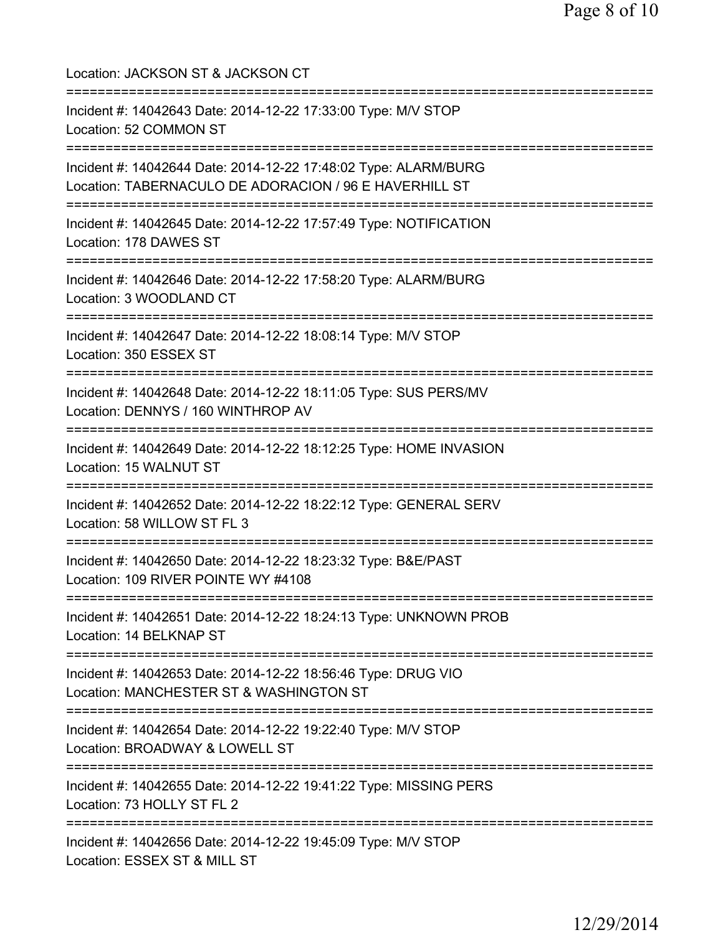| Location: JACKSON ST & JACKSON CT<br>================================                                                                          |
|------------------------------------------------------------------------------------------------------------------------------------------------|
| Incident #: 14042643 Date: 2014-12-22 17:33:00 Type: M/V STOP<br>Location: 52 COMMON ST<br>================================                    |
| Incident #: 14042644 Date: 2014-12-22 17:48:02 Type: ALARM/BURG<br>Location: TABERNACULO DE ADORACION / 96 E HAVERHILL ST                      |
| Incident #: 14042645 Date: 2014-12-22 17:57:49 Type: NOTIFICATION<br>Location: 178 DAWES ST                                                    |
| ==================<br>Incident #: 14042646 Date: 2014-12-22 17:58:20 Type: ALARM/BURG<br>Location: 3 WOODLAND CT                               |
| Incident #: 14042647 Date: 2014-12-22 18:08:14 Type: M/V STOP<br>Location: 350 ESSEX ST                                                        |
| Incident #: 14042648 Date: 2014-12-22 18:11:05 Type: SUS PERS/MV<br>Location: DENNYS / 160 WINTHROP AV                                         |
| Incident #: 14042649 Date: 2014-12-22 18:12:25 Type: HOME INVASION<br>Location: 15 WALNUT ST                                                   |
| Incident #: 14042652 Date: 2014-12-22 18:22:12 Type: GENERAL SERV<br>Location: 58 WILLOW ST FL 3                                               |
| Incident #: 14042650 Date: 2014-12-22 18:23:32 Type: B&E/PAST<br>Location: 109 RIVER POINTE WY #4108                                           |
| =====================================<br>Incident #: 14042651 Date: 2014-12-22 18:24:13 Type: UNKNOWN PROB<br>Location: 14 BELKNAP ST          |
| ==================================<br>Incident #: 14042653 Date: 2014-12-22 18:56:46 Type: DRUG VIO<br>Location: MANCHESTER ST & WASHINGTON ST |
| Incident #: 14042654 Date: 2014-12-22 19:22:40 Type: M/V STOP<br>Location: BROADWAY & LOWELL ST                                                |
| ===============================<br>Incident #: 14042655 Date: 2014-12-22 19:41:22 Type: MISSING PERS<br>Location: 73 HOLLY ST FL 2             |
| Incident #: 14042656 Date: 2014-12-22 19:45:09 Type: M/V STOP<br>Location: ESSEX ST & MILL ST                                                  |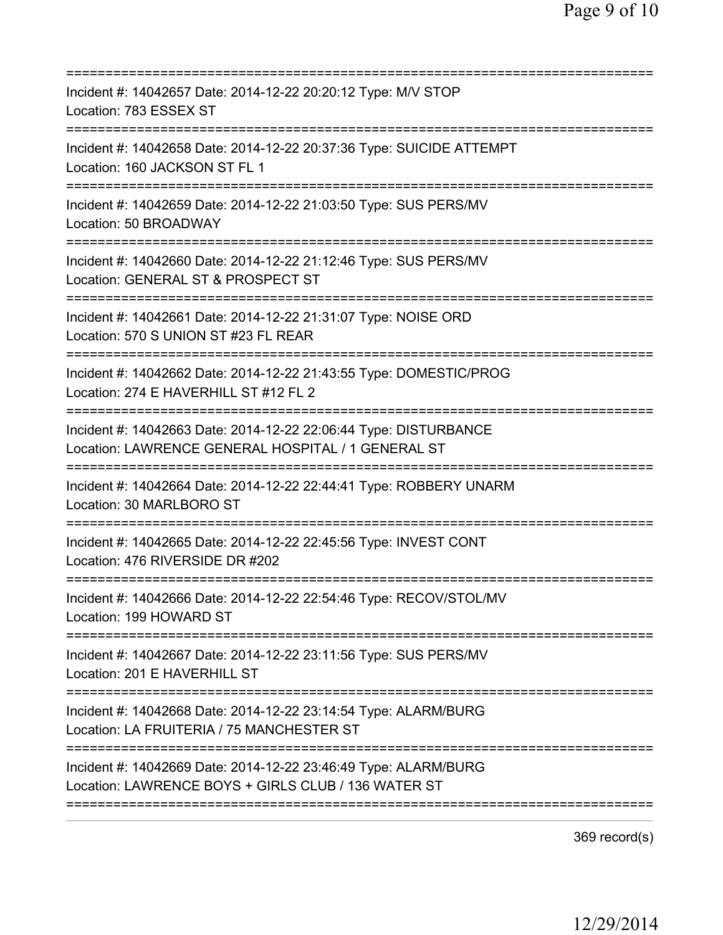| Incident #: 14042657 Date: 2014-12-22 20:20:12 Type: M/V STOP<br>Location: 783 ESSEX ST                                  |
|--------------------------------------------------------------------------------------------------------------------------|
| Incident #: 14042658 Date: 2014-12-22 20:37:36 Type: SUICIDE ATTEMPT<br>Location: 160 JACKSON ST FL 1                    |
| Incident #: 14042659 Date: 2014-12-22 21:03:50 Type: SUS PERS/MV<br>Location: 50 BROADWAY                                |
| Incident #: 14042660 Date: 2014-12-22 21:12:46 Type: SUS PERS/MV<br>Location: GENERAL ST & PROSPECT ST                   |
| Incident #: 14042661 Date: 2014-12-22 21:31:07 Type: NOISE ORD<br>Location: 570 S UNION ST #23 FL REAR                   |
| Incident #: 14042662 Date: 2014-12-22 21:43:55 Type: DOMESTIC/PROG<br>Location: 274 E HAVERHILL ST #12 FL 2              |
| Incident #: 14042663 Date: 2014-12-22 22:06:44 Type: DISTURBANCE<br>Location: LAWRENCE GENERAL HOSPITAL / 1 GENERAL ST   |
| Incident #: 14042664 Date: 2014-12-22 22:44:41 Type: ROBBERY UNARM<br>Location: 30 MARLBORO ST<br>====================== |
| Incident #: 14042665 Date: 2014-12-22 22:45:56 Type: INVEST CONT<br>Location: 476 RIVERSIDE DR #202                      |
| Incident #: 14042666 Date: 2014-12-22 22:54:46 Type: RECOV/STOL/MV<br>Location: 199 HOWARD ST                            |
| Incident #: 14042667 Date: 2014-12-22 23:11:56 Type: SUS PERS/MV<br>Location: 201 E HAVERHILL ST                         |
| Incident #: 14042668 Date: 2014-12-22 23:14:54 Type: ALARM/BURG<br>Location: LA FRUITERIA / 75 MANCHESTER ST             |
| Incident #: 14042669 Date: 2014-12-22 23:46:49 Type: ALARM/BURG<br>Location: LAWRENCE BOYS + GIRLS CLUB / 136 WATER ST   |
|                                                                                                                          |

369 record(s)